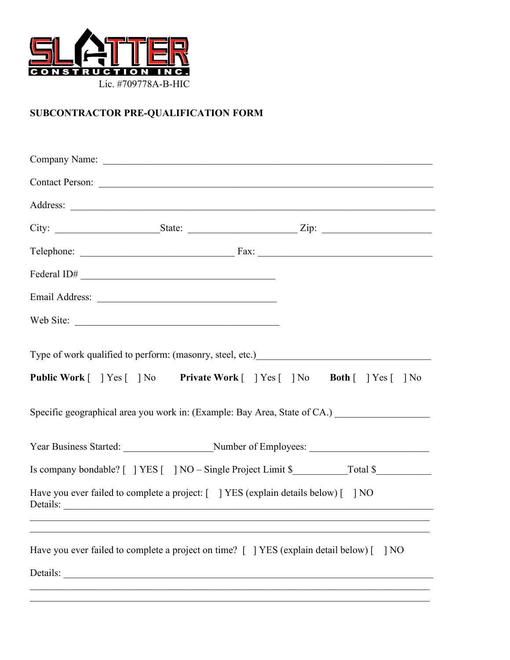

# **SUBCONTRACTOR PRE-QUALIFICATION FORM**

|                                                                                                | Contact Person:                                                                          |
|------------------------------------------------------------------------------------------------|------------------------------------------------------------------------------------------|
|                                                                                                |                                                                                          |
|                                                                                                |                                                                                          |
|                                                                                                |                                                                                          |
| Federal ID# $\overline{\phantom{a}}$                                                           |                                                                                          |
|                                                                                                |                                                                                          |
| Web Site:                                                                                      |                                                                                          |
|                                                                                                | Specific geographical area you work in: (Example: Bay Area, State of CA.) ______________ |
|                                                                                                |                                                                                          |
|                                                                                                |                                                                                          |
| Have you ever failed to complete a project: [ ] YES (explain details below) [ ] NO<br>Details: |                                                                                          |
| Have you ever failed to complete a project on time? [ ] YES (explain detail below) [           | 1 <sub>NO</sub>                                                                          |
| Details:                                                                                       |                                                                                          |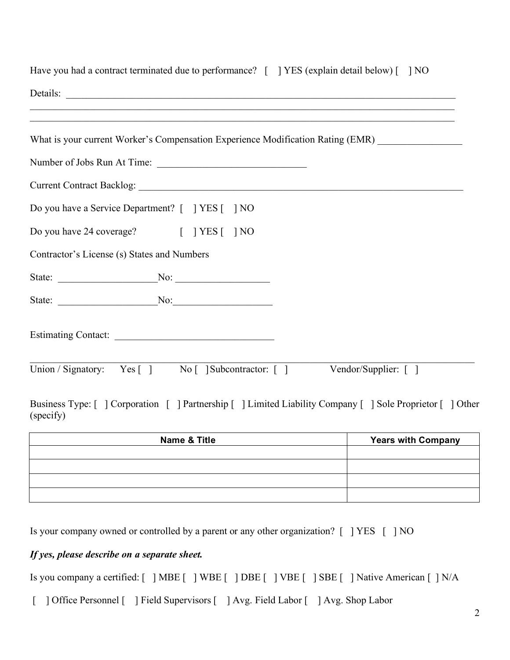| Have you had a contract terminated due to performance? [ ] YES (explain detail below) [ ] NO                                                                                                                                                                               |
|----------------------------------------------------------------------------------------------------------------------------------------------------------------------------------------------------------------------------------------------------------------------------|
|                                                                                                                                                                                                                                                                            |
| ,我们也不能在这里的人,我们也不能在这里的人,我们也不能在这里的人,我们也不能在这里的人,我们也不能在这里的人,我们也不能在这里的人,我们也不能在这里的人,我们也<br>What is your current Worker's Compensation Experience Modification Rating (EMR) ___________________                                                                                   |
| Number of Jobs Run At Time:                                                                                                                                                                                                                                                |
|                                                                                                                                                                                                                                                                            |
| Do you have a Service Department? [ ] YES [ ] NO                                                                                                                                                                                                                           |
| Do you have 24 coverage? [ ] YES [ ] NO                                                                                                                                                                                                                                    |
| Contractor's License (s) States and Numbers                                                                                                                                                                                                                                |
|                                                                                                                                                                                                                                                                            |
| State: No: No:                                                                                                                                                                                                                                                             |
|                                                                                                                                                                                                                                                                            |
| Union / Signatory: Yes [] No [] Subcontractor: [] Vendor/Supplier: []<br>$\mathbf{r} = \mathbf{m}$ , $\mathbf{r} = \mathbf{m}$ , $\mathbf{r} = \mathbf{r}$ , $\mathbf{r} = \mathbf{r}$ , $\mathbf{r} = \mathbf{r}$ , $\mathbf{r} = \mathbf{r}$ , $\mathbf{r} = \mathbf{r}$ |

Business Type: [ ] Corporation [ ] Partnership [ ] Limited Liability Company [ ] Sole Proprietor [ ] Other (specify)

| <b>Name &amp; Title</b> | <b>Years with Company</b> |
|-------------------------|---------------------------|
|                         |                           |
|                         |                           |
|                         |                           |
|                         |                           |

Is your company owned or controlled by a parent or any other organization? [ ] YES [ ] NO

## *If yes, please describe on a separate sheet.*

Is you company a certified: [ ] MBE [ ] WBE [ ] DBE [ ] VBE [ ] SBE [ ] Native American [ ] N/A

[ ] Office Personnel [ ] Field Supervisors [ ] Avg. Field Labor [ ] Avg. Shop Labor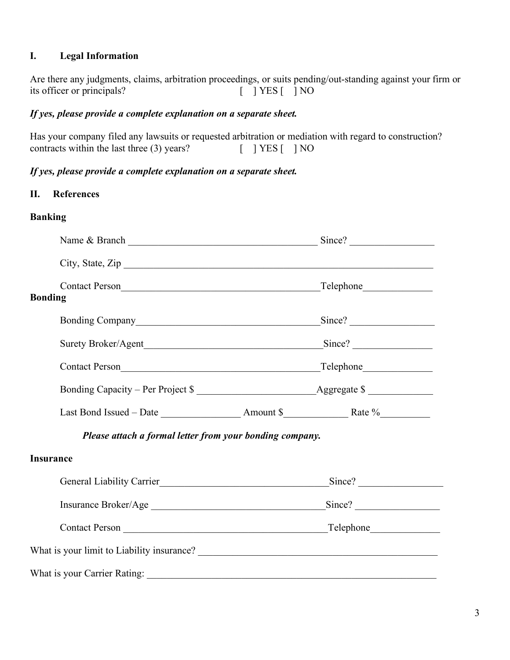# **I. Legal Information**

Are there any judgments, claims, arbitration proceedings, or suits pending/out-standing against your firm or its officer or principals? [ ] YES [ ] NO

## *If yes, please provide a complete explanation on a separate sheet.*

Has your company filed any lawsuits or requested arbitration or mediation with regard to construction? contracts within the last three  $(3)$  years?  $[ | \text{YES} | ] NO$ 

# *If yes, please provide a complete explanation on a separate sheet.*

#### **II. References**

# **Banking**

| City, State, Zip                                         |  |  |
|----------------------------------------------------------|--|--|
| <b>Bonding</b>                                           |  |  |
|                                                          |  |  |
|                                                          |  |  |
|                                                          |  |  |
| Bonding Capacity – Per Project \$                        |  |  |
|                                                          |  |  |
| Please attach a formal letter from your bonding company. |  |  |
| <b>Insurance</b>                                         |  |  |
|                                                          |  |  |
|                                                          |  |  |
|                                                          |  |  |
|                                                          |  |  |
|                                                          |  |  |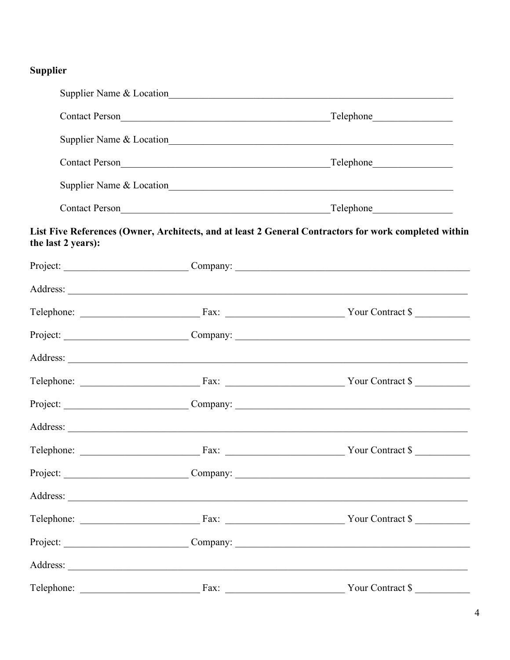# Supplier

|                    |      | $\Box$ Telephone                                                                                      |
|--------------------|------|-------------------------------------------------------------------------------------------------------|
|                    |      |                                                                                                       |
|                    |      | Contact Person<br><u>Felephone</u>                                                                    |
|                    |      |                                                                                                       |
|                    |      | Contact Person<br><u>Felephone</u><br>Telephone                                                       |
| the last 2 years): |      | List Five References (Owner, Architects, and at least 2 General Contractors for work completed within |
|                    |      | Project: Company: Company:                                                                            |
|                    |      |                                                                                                       |
|                    |      |                                                                                                       |
|                    |      | Project: Company: Company:                                                                            |
|                    |      |                                                                                                       |
|                    |      |                                                                                                       |
|                    |      | Project: Company: Company:                                                                            |
|                    |      |                                                                                                       |
|                    |      |                                                                                                       |
|                    |      | Project: Company: Company:                                                                            |
|                    |      |                                                                                                       |
|                    |      |                                                                                                       |
|                    |      | Project: Company:                                                                                     |
|                    |      |                                                                                                       |
| Telephone:         | Fax: | Your Contract \$                                                                                      |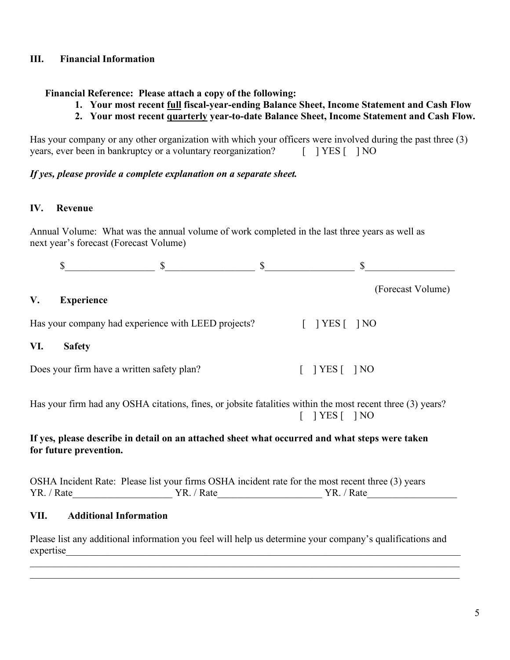## **III. Financial Information**

### **Financial Reference: Please attach a copy of the following:**

- **1. Your most recent full fiscal-year-ending Balance Sheet, Income Statement and Cash Flow**
- **2. Your most recent quarterly year-to-date Balance Sheet, Income Statement and Cash Flow.**

Has your company or any other organization with which your officers were involved during the past three (3) years, ever been in bankruptcy or a voluntary reorganization? [ ] YES [ ] NO

#### *If yes, please provide a complete explanation on a separate sheet.*

### **IV. Revenue**

Annual Volume: What was the annual volume of work completed in the last three years as well as next year's forecast (Forecast Volume)

### **V. Experience**

Has your company had experience with LEED projects? [ ] YES [ ] NO

#### **VI. Safety**

Does your firm have a written safety plan? [ ] YES [ ] NO

Has your firm had any OSHA citations, fines, or jobsite fatalities within the most recent three (3) years?  $[$  | YES  $[$  | NO

## **If yes, please describe in detail on an attached sheet what occurred and what steps were taken for future prevention.**

OSHA Incident Rate: Please list your firms OSHA incident rate for the most recent three (3) years YR. / Rate YR. / Rate YR. / Rate

## **VII. Additional Information**

Please list any additional information you feel will help us determine your company's qualifications and expertise\_\_\_\_\_\_\_\_\_\_\_\_\_\_\_\_\_\_\_\_\_\_\_\_\_\_\_\_\_\_\_\_\_\_\_\_\_\_\_\_\_\_\_\_\_\_\_\_\_\_\_\_\_\_\_\_\_\_\_\_\_\_\_\_\_\_\_\_\_\_\_\_\_\_\_\_\_\_\_

 $\mathcal{L}_\mathcal{L} = \{ \mathcal{L}_\mathcal{L} = \{ \mathcal{L}_\mathcal{L} = \{ \mathcal{L}_\mathcal{L} = \{ \mathcal{L}_\mathcal{L} = \{ \mathcal{L}_\mathcal{L} = \{ \mathcal{L}_\mathcal{L} = \{ \mathcal{L}_\mathcal{L} = \{ \mathcal{L}_\mathcal{L} = \{ \mathcal{L}_\mathcal{L} = \{ \mathcal{L}_\mathcal{L} = \{ \mathcal{L}_\mathcal{L} = \{ \mathcal{L}_\mathcal{L} = \{ \mathcal{L}_\mathcal{L} = \{ \mathcal{L}_\mathcal{$  $\mathcal{L}_\mathcal{L} = \mathcal{L}_\mathcal{L} = \mathcal{L}_\mathcal{L} = \mathcal{L}_\mathcal{L} = \mathcal{L}_\mathcal{L} = \mathcal{L}_\mathcal{L} = \mathcal{L}_\mathcal{L} = \mathcal{L}_\mathcal{L} = \mathcal{L}_\mathcal{L} = \mathcal{L}_\mathcal{L} = \mathcal{L}_\mathcal{L} = \mathcal{L}_\mathcal{L} = \mathcal{L}_\mathcal{L} = \mathcal{L}_\mathcal{L} = \mathcal{L}_\mathcal{L} = \mathcal{L}_\mathcal{L} = \mathcal{L}_\mathcal{L}$ 

(Forecast Volume)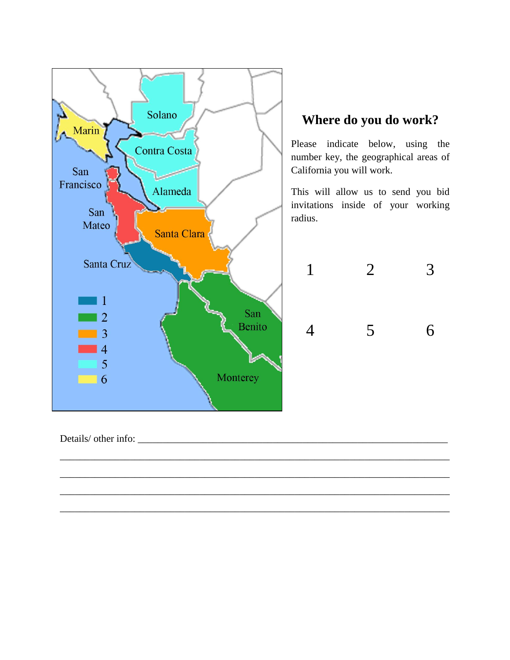

\_\_\_\_\_\_\_\_\_\_\_\_\_\_\_\_\_\_\_\_\_\_\_\_\_\_\_\_\_\_\_\_\_\_\_\_\_\_\_\_\_\_\_\_\_\_\_\_\_\_\_\_\_\_\_\_\_\_\_\_\_\_\_\_\_\_\_\_\_\_\_\_\_\_\_\_\_\_

\_\_\_\_\_\_\_\_\_\_\_\_\_\_\_\_\_\_\_\_\_\_\_\_\_\_\_\_\_\_\_\_\_\_\_\_\_\_\_\_\_\_\_\_\_\_\_\_\_\_\_\_\_\_\_\_\_\_\_\_\_\_\_\_\_\_\_\_\_\_\_\_\_\_\_\_\_\_

\_\_\_\_\_\_\_\_\_\_\_\_\_\_\_\_\_\_\_\_\_\_\_\_\_\_\_\_\_\_\_\_\_\_\_\_\_\_\_\_\_\_\_\_\_\_\_\_\_\_\_\_\_\_\_\_\_\_\_\_\_\_\_\_\_\_\_\_\_\_\_\_\_\_\_\_\_\_

\_\_\_\_\_\_\_\_\_\_\_\_\_\_\_\_\_\_\_\_\_\_\_\_\_\_\_\_\_\_\_\_\_\_\_\_\_\_\_\_\_\_\_\_\_\_\_\_\_\_\_\_\_\_\_\_\_\_\_\_\_\_\_\_\_\_\_\_\_\_\_\_\_\_\_\_\_\_

# **Where do you do work?**

Please indicate below, using the number key, the geographical areas of California you will work.

This will allow us to send you bid invitations inside of your working



Details/ other info: \_\_\_\_\_\_\_\_\_\_\_\_\_\_\_\_\_\_\_\_\_\_\_\_\_\_\_\_\_\_\_\_\_\_\_\_\_\_\_\_\_\_\_\_\_\_\_\_\_\_\_\_\_\_\_\_\_\_\_\_\_\_